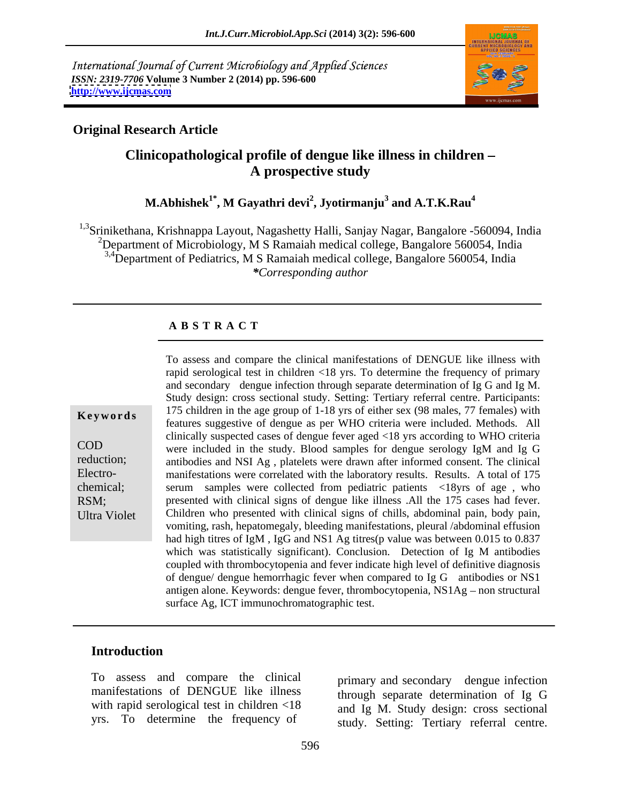International Journal of Current Microbiology and Applied Sciences *ISSN: 2319-7706* **Volume 3 Number 2 (2014) pp. 596-600 <http://www.ijcmas.com>**



# **Original Research Article**

# Clinicopathological profile of dengue like illness in children -<br>A prospective study

 $\mathbf{M}.\mathbf{A}\mathbf{b}$ hishek $^{1^*}\!,\mathbf{M}$  Gayathri devi $^2\!,\mathbf{J}$ yotirmanju $^3$  and  $\mathbf{A}.\mathbf{T}.\mathbf{K}.\mathbf{R}\mathbf{a}\mathbf{u}^4$  **and A.T.K.Rau<sup>4</sup>**

<sup>1,3</sup>Srinikethana, Krishnappa Layout, Nagashetty Halli, Sanjay Nagar, Bangalore -560094, India <sup>2</sup>Department of Microbiology, M S Ramaiah medical college, Bangalore 560054, India <sup>3,4</sup>Department of Pediatrics, M S Ramaiah medical college, Bangalore 560054, India *\*Corresponding author* 

### **A B S T R A C T**

**Keywords** 175 children in the age group of 1-18 yrs of either sex (98 males, 77 females) with COD were included in the study. Blood samples for dengue serology IgM and Ig G reduction; antibodies and NSI Ag, platelets were drawn after informed consent. The clinical Electro- manifestations were correlated with the laboratory results. Results. A total of 175 chemical; serum samples were collected from pediatric patients <18yrs of age , who RSM; presented with clinical signs of dengue like illness .All the 175 cases had fever. Ultra Violet Children who presented with clinical signs of chills, abdominal pain, body pain, To assess and compare the clinical manifestations of DENGUE like illness with rapid serological test in children <18 yrs. To determine the frequency of primary and secondary dengue infection through separate determination of Ig G and Ig M. Study design: cross sectional study. Setting: Tertiary referral centre. Participants: features suggestive of dengue as per WHO criteria were included. Methods. All clinically suspected cases of dengue fever aged <18 yrs according to WHO criteria vomiting, rash, hepatomegaly, bleeding manifestations, pleural /abdominal effusion had high titres of IgM, IgG and NS1 Ag titres(p value was between 0.015 to 0.837 which was statistically significant). Conclusion. Detection of Ig M antibodies coupled with thrombocytopenia and fever indicate high level of definitive diagnosis of dengue/ dengue hemorrhagic fever when compared to Ig G antibodies or NS1 antigen alone. Keywords: dengue fever, thrombocytopenia, NS1Ag - non structural surface Ag, ICT immunochromatographic test.

# **Introduction**

To assess and compare the clinical manifestations of DENGUE like illness with rapid serological test in children <18 yrs. To determine the frequency of

primary and secondary dengue infection through separate determination of Ig G and Ig M. Study design: cross sectional study. Setting: Tertiary referral centre.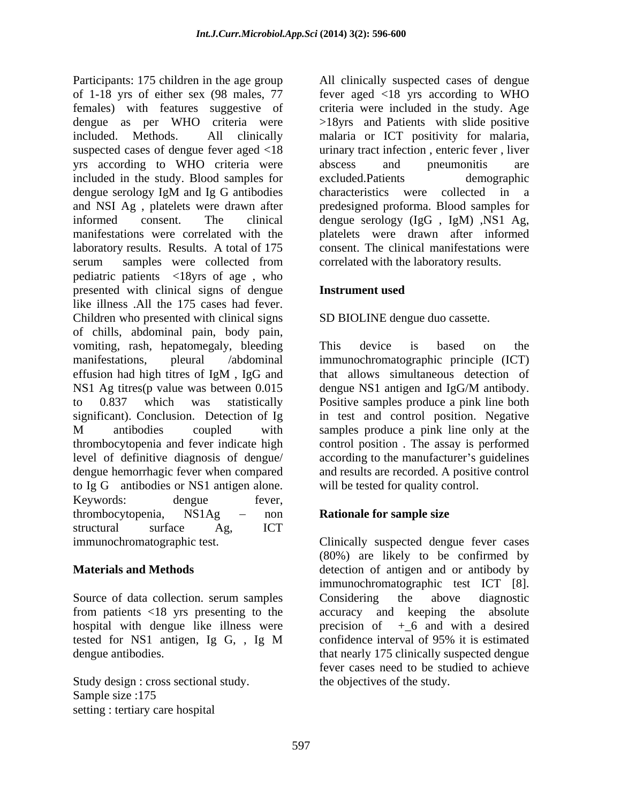Participants: 175 children in the age group All clinically suspected cases of dengue of 1-18 yrs of either sex (98 males, 77 fever aged <18 yrs according to WHO females) with features suggestive of criteria were included in the study. Age dengue as per WHO criteria were >18yrs and Patients with slide positive included. Methods. All clinically malaria or ICT positivity for malaria, suspected cases of dengue fever aged <18 yrs according to WHO criteria were included in the study. Blood samples for excluded. Patients demographic dengue serology IgM and Ig G antibodies and NSI Ag , platelets were drawn after informed consent. The clinical dengue serology (IgG , IgM) ,NS1 Ag, manifestations were correlated with the platelets were drawn after informed laboratory results. Results. A total of 175 consent. The clinical manifestations were serum samples were collected from correlated with the laboratory results. pediatric patients <18yrs of age , who presented with clinical signs of dengue like illness .All the 175 cases had fever. Children who presented with clinical signs of chills, abdominal pain, body pain, vomiting, rash, hepatomegaly, bleeding This device is based on the manifestations, pleural /abdominal immunochromatographic principle (ICT) effusion had high titres of IgM , IgG and NS1 Ag titres(p value was between 0.015 dengue NS1 antigen and IgG/M antibody. to 0.837 which was statistically Positive samples produce a pink line both significant). Conclusion. Detection of Ig in test and control position. Negative M antibodies coupled with samples produce a pink line only at the thrombocytopenia and fever indicate high control position . The assay is performed level of definitive diagnosis of dengue/ according to the manufacturer's guidelines dengue hemorrhagic fever when compared and results are recorded. A positive control to Ig G antibodies or NS1 antigen alone. Keywords: dengue fever, thrombocytopenia, NS1Ag – non **Rationale for sample size** structural surface Ag, ICT

hospital with dengue like illness were

Study design : cross sectional study.<br>Sample size :175 Sample size :175 setting : tertiary care hospital

urinary tract infection, enteric fever, liver abscess and pneumonitis are excluded.Patients demographic characteristics were collected in a predesigned proforma. Blood samples for correlated with the laboratory results.

### **Instrument used**

### SD BIOLINE dengue duo cassette.

This device is based on the that allows simultaneous detection of dengue NS1 antigen and IgG/M antibody. will be tested for quality control.

# **Rationale for sample size**

immunochromatographic test. Clinically suspected dengue fever cases **Materials and Methods** detection of antigen and or antibody by Source of data collection. serum samples Considering the above diagnostic from patients <18 yrs presenting to the accuracy and keeping the absolute tested for NS1 antigen, Ig G, , Ig M dengue antibodies. that nearly 175 clinically suspected dengue (80%) are likely to be confirmed by immunochromatographic test ICT [8]. Considering the above diagnostic precision of  $+6$  and with a desired confidence interval of 95% it is estimated fever cases need to be studied to achieve the objectives of the study.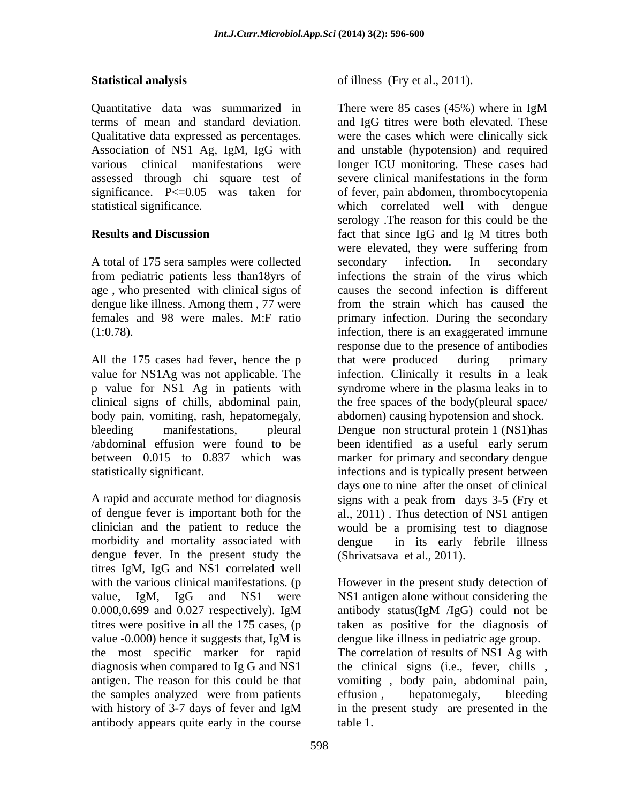Quantitative data was summarized in There were 85 cases (45%) where in IgM assessed through chi square test of

A total of 175 sera samples were collected secondary infection. In secondary from pediatric patients less than18yrs of age , who presented with clinical signs of dengue like illness. Among them , 77 were

All the 175 cases had fever, hence the p that were produced during primary body pain, vomiting, rash, hepatomegaly, /abdominal effusion were found to be been identified as a useful early serum

morbidity and mortality associated with dengue fever. In the present study the titres IgM, IgG and NS1 correlated well value -0.000) hence it suggests that, IgM is the samples analyzed were from patients effusion, hepatomegaly, bleeding antibody appears quite early in the course

**Statistical analysis** of illness (Fry et al., 2011).

terms of mean and standard deviation. and IgG titres were both elevated. These Qualitative data expressed as percentages. were the cases which were clinically sick Association of NS1 Ag, IgM, IgG with and unstable (hypotension) and required various clinical manifestations were longer ICU monitoring. These cases had significance. P<=0.05 was taken for of fever, pain abdomen, thrombocytopenia statistical significance. which correlated well with dengue **Results and Discussion** fact that since IgG and Ig M titres both females and 98 were males. M:F ratio primary infection. During the secondary (1:0.78). infection, there is an exaggerated immune value for NS1Ag was not applicable. The infection. Clinically it results in a leak p value for NS1 Ag in patients with syndrome where in the plasma leaks in to clinical signs of chills, abdominal pain, the free spaces of the body(pleural space/ bleeding manifestations, pleural Dengue non structural protein 1 (NS1)has between 0.015 to 0.837 which was marker for primary and secondary dengue statistically significant. infections and is typically present between A rapid and accurate method for diagnosis signs with a peak from days 3-5 (Fry et of dengue fever is important both for the al., 2011) . Thus detection of NS1 antigen clinician and the patient to reduce the would be a promising test to diagnose of illness (Fry et al., 2011).<br>There were 85 cases (45%) where in IgM severe clinical manifestations in the form serology .The reason for this could be the fact that since IgG and Ig M titres both were elevated, they were suffering from secondary infection. In secondary infections the strain of the virus which causes the second infection is different from the strain which has caused the response due to the presence of antibodies that were produced during primary abdomen) causing hypotension and shock. been identified as a useful early serum days one to nine after the onset of clinical in its early febrile illness (Shrivatsava et al., 2011).

with the various clinical manifestations. (p and However in the present study detection of value, IgM, IgG and NS1 were NS1 antigen alone without considering the 0.000,0.699 and 0.027 respectively). IgM antibody status(IgM /IgG) could not be titres were positive in all the 175 cases, (p taken as positive for the diagnosis of the most specific marker for rapid The correlation of results of NS1 Ag with diagnosis when compared to Ig G and NS1 the clinical signs (i.e., fever, chills , antigen. The reason for this could be that vomiting , body pain, abdominal pain, with history of 3-7 days of fever and IgM in the present study are presented in the antibody status(IgM /IgG) could not be dengue like illness in pediatric age group. effusion , hepatomegaly, bleeding in the present study are presented in the table 1.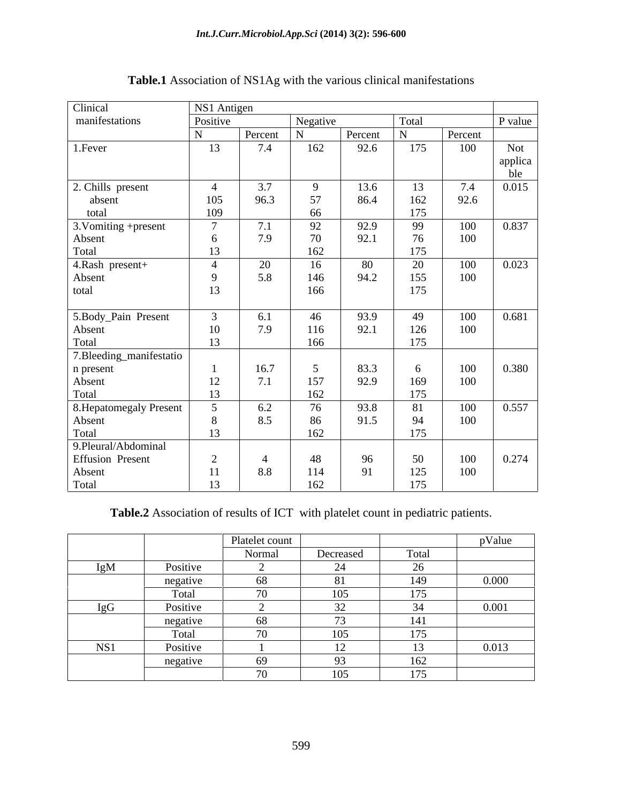| Clinical                          | NS1 Antigen    |         |           |         |                |                   |                |
|-----------------------------------|----------------|---------|-----------|---------|----------------|-------------------|----------------|
| manifestations                    | Positive       |         | Negative  |         | Total          |                   | P value        |
|                                   | N              | Percent | ${\bf N}$ | Percent | $\overline{N}$ | Percent           |                |
| 1. Fever                          | 13             | 7.4     | 162       | 92.6    | 175            | 100               | Not            |
|                                   |                |         |           |         |                |                   |                |
|                                   |                |         |           |         |                |                   | applica<br>ble |
| 2. Chills present                 | $\overline{4}$ | 3.7     |           | 13.6    | 13             | 7.4               | 0.015          |
| absent                            | 105            | 96.3    | 57        | 86.4    | 162            | 92.6              |                |
| total                             | 109            |         | 66        |         | 175            |                   |                |
| $\overline{3.}$ Vomiting +present | $\overline{a}$ | 7.1     | 92        | 92.9    | 99             | 100               | 0.837          |
| Absent                            | - 6            | 7.9     | 70        | 92.1    | 76             | 100               |                |
| Total                             | 13             |         | 162       |         | 175            |                   |                |
| 4.Rash present+                   | $\overline{4}$ | 20      | 16        | 80      | 20             | 100               | 0.023          |
| Absent                            | $\overline{9}$ | 5.8     | 146       | 94.2    | 155            | 100               |                |
| total                             | 13             |         | 166       |         | 175            |                   |                |
|                                   |                |         |           |         |                |                   |                |
| 5.Body_Pain Present               |                | 6.1     | 46        | 93.9    | 49             | 100               | 0.681          |
| Absent                            | 10             | 7.9     | 116       | 92.1    | 126            | 100               |                |
| Total                             | 13             |         | 166       |         | 175            |                   |                |
| 7.Bleeding_manifestatio           |                |         |           |         |                |                   |                |
| n present                         |                | 16.7    |           | 83.3    | 6              | $\frac{100}{100}$ | 0.380          |
| Absent                            | 12             | 7.1     | 157       | 92.9    | 169            |                   |                |
| Total                             | 13             |         | 162       |         | 175            |                   |                |
| 8. Hepatomegaly Present           |                | 6.2     | 76        | 93.8    | 81             | 100               | 0.557          |
| Absent                            |                | 8.5     | 86        | 91.5    | 94             | 100               |                |
| Total                             | 13             |         | 162       |         | 175            |                   |                |
| 9.Pleural/Abdominal               |                |         |           |         |                |                   |                |
| <b>Effusion Present</b>           | 2              |         | 48        | 96      | 50             | 100               | 0.274          |
| Absent                            | 11             | 8.8     | 114       | 91      | $125\,$        | 100               |                |
| Total                             | 13             |         | 162       |         | 175            |                   |                |

**Table.1** Association of NS1Ag with the various clinical manifestations

**Table.2** Association of results of ICT with platelet count in pediatric patients.

|               |                    | Platelet count |                      |               | $   -$<br>pValue |
|---------------|--------------------|----------------|----------------------|---------------|------------------|
|               |                    | Normal         | Decreased            | Total         |                  |
| IgM           | Positive           |                | $\sim$ $\sim$        |               |                  |
|               | negative<br>$\sim$ | - 68           | 81                   | 149           | 0.000            |
|               | Total              |                | $105 -$              | 175           |                  |
| $I$ g $G$     | Positive           |                | $\sim$               | $\sim$ $\sim$ | 0.001            |
| $\sim$ $\sim$ | negative           |                | $\overline{z}$       | 141           |                  |
|               | Total              | $ -$           | 105                  | 175           |                  |
| NS1           | Positive           |                |                      |               | 0.013            |
|               | negative           |                | $\overline{93}$      | 162           |                  |
|               |                    |                | $1 \Omega$<br>$\sim$ |               |                  |